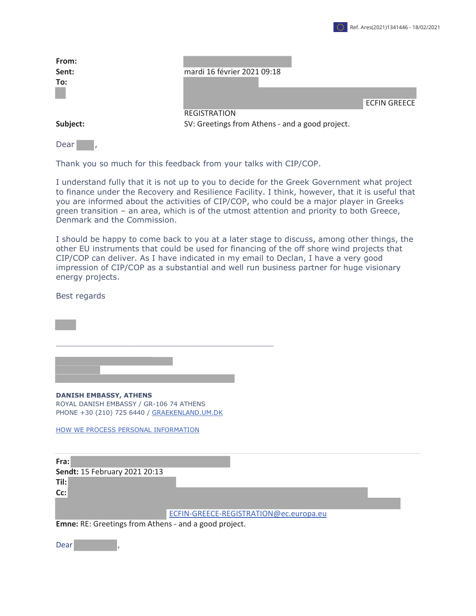

| From:<br>Sent:<br>To: | mardi 16 février 2021 09:18                                            | <b>ECFIN GREECE</b> |
|-----------------------|------------------------------------------------------------------------|---------------------|
| Subject:              | <b>REGISTRATION</b><br>SV: Greetings from Athens - and a good project. |                     |
| Dear                  |                                                                        |                     |

Thank you so much for this feedback from your talks with CIP/COP.

I understand fully that it is not up to you to decide for the Greek Government what project to finance under the Recovery and Resilience Facility. I think, however, that it is useful that you are informed about the activities of CIP/COP, who could be a major player in Greeks green transition – an area, which is of the utmost attention and priority to both Greece, Denmark and the Commission.

I should be happy to come back to you at a later stage to discuss, among other things, the other EU instruments that could be used for financing of the off shore wind projects that CIP/COP can deliver. As I have indicated in my email to Declan, I have a very good impression of CIP/COP as a substantial and well run business partner for huge visionary energy projects.

Best regards

**DANISH EMBASSY, ATHENS**  ROYAL DANISH EMBASSY / GR-106 74 ATHENS PHONE +30 (210) 725 6440 / GRAEKENLAND.UM.DK

\_\_\_\_\_\_\_\_\_\_\_\_\_\_\_\_\_\_\_\_\_\_\_\_\_\_\_\_\_\_\_\_\_\_\_\_\_\_\_\_\_\_\_\_\_\_\_\_\_\_\_\_\_\_\_

HOW WE PROCESS PERSONAL INFORMATION

**Fra: Sendt:** 15 February 2021 20:13 **Til: Cc:** ECFIN-GREECE-REGISTRATION@ec.europa.eu

**Emne:** RE: Greetings from Athens - and a good project.

Dear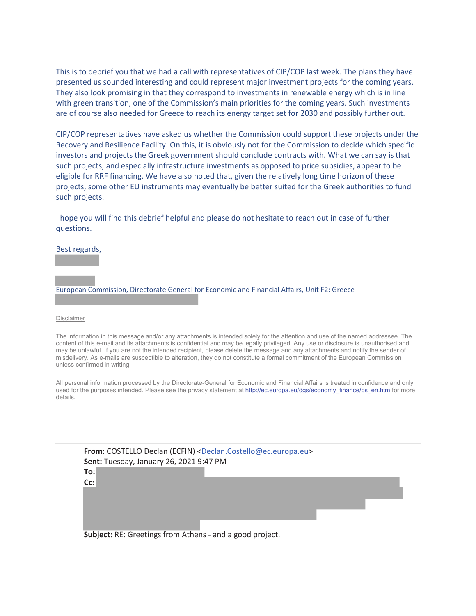This is to debrief you that we had a call with representatives of CIP/COP last week. The plans they have presented us sounded interesting and could represent major investment projects for the coming years. They also look promising in that they correspond to investments in renewable energy which is in line with green transition, one of the Commission's main priorities for the coming years. Such investments are of course also needed for Greece to reach its energy target set for 2030 and possibly further out.

CIP/COP representatives have asked us whether the Commission could support these projects under the Recovery and Resilience Facility. On this, it is obviously not for the Commission to decide which specific investors and projects the Greek government should conclude contracts with. What we can say is that such projects, and especially infrastructure investments as opposed to price subsidies, appear to be eligible for RRF financing. We have also noted that, given the relatively long time horizon of these projects, some other EU instruments may eventually be better suited for the Greek authorities to fund such projects.

I hope you will find this debrief helpful and please do not hesitate to reach out in case of further questions.

Best regards,

European Commission, Directorate General for Economic and Financial Affairs, Unit F2: Greece

## Disclaimer

The information in this message and/or any attachments is intended solely for the attention and use of the named addressee. The content of this e-mail and its attachments is confidential and may be legally privileged. Any use or disclosure is unauthorised and may be unlawful. If you are not the intended recipient, please delete the message and any attachments and notify the sender of misdelivery. As e-mails are susceptible to alteration, they do not constitute a formal commitment of the European Commission unless confirmed in writing.

All personal information processed by the Directorate-General for Economic and Financial Affairs is treated in confidence and only used for the purposes intended. Please see the privacy statement at http://ec.europa.eu/dgs/economy\_finance/ps\_en.htm for more details.

|     | From: COSTELLO Declan (ECFIN) <declan.costello@ec.europa.eu></declan.costello@ec.europa.eu> |  |  |
|-----|---------------------------------------------------------------------------------------------|--|--|
|     | Sent: Tuesday, January 26, 2021 9:47 PM                                                     |  |  |
| To: |                                                                                             |  |  |
| Cc: |                                                                                             |  |  |
|     |                                                                                             |  |  |
|     |                                                                                             |  |  |
|     |                                                                                             |  |  |
|     |                                                                                             |  |  |

**Subject:** RE: Greetings from Athens - and a good project.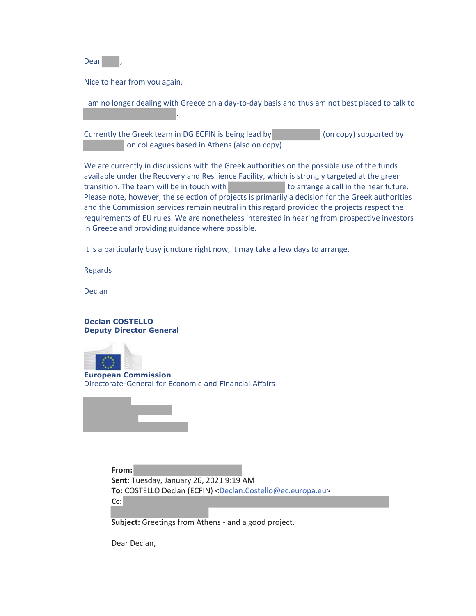Dear

Nice to hear from you again.

.

I am no longer dealing with Greece on a day-to-day basis and thus am not best placed to talk to

Currently the Greek team in DG ECFIN is being lead by (on copy) supported by on colleagues based in Athens (also on copy).

We are currently in discussions with the Greek authorities on the possible use of the funds available under the Recovery and Resilience Facility, which is strongly targeted at the green transition. The team will be in touch with the near future. Please note, however, the selection of projects is primarily a decision for the Greek authorities and the Commission services remain neutral in this regard provided the projects respect the requirements of EU rules. We are nonetheless interested in hearing from prospective investors in Greece and providing guidance where possible.

It is a particularly busy juncture right now, it may take a few days to arrange.

Regards

Declan

**Declan COSTELLO Deputy Director General**



**European Commission** Directorate-General for Economic and Financial Affairs



**From: Sent:** Tuesday, January 26, 2021 9:19 AM **To:** COSTELLO Declan (ECFIN) <Declan.Costello@ec.europa.eu> **Cc:**

**Subject:** Greetings from Athens - and a good project.

Dear Declan,